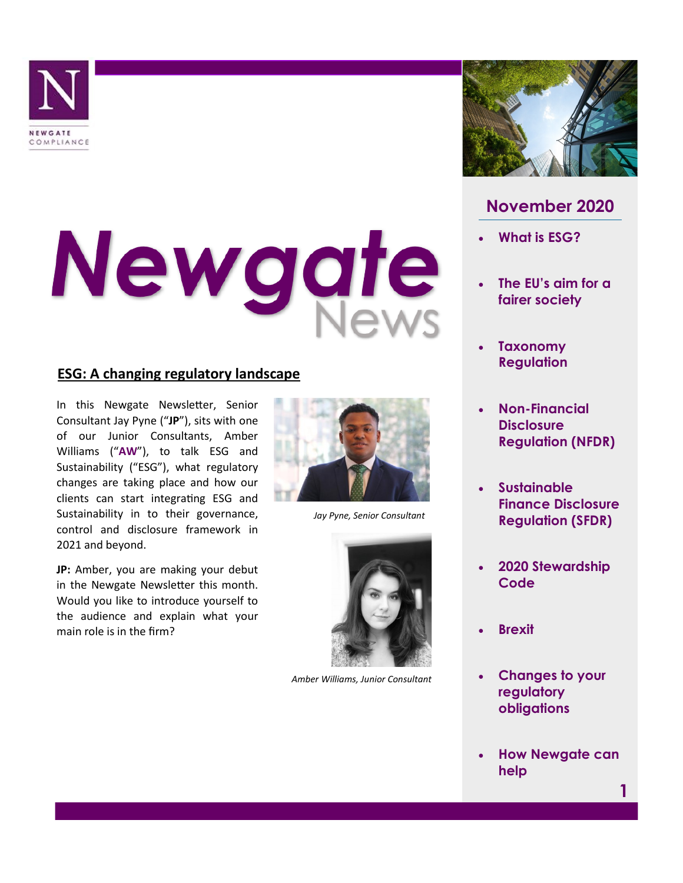

# Newgate

# **ESG: A changing regulatory landscape**

In this Newgate Newsletter, Senior Consultant Jay Pyne ("**JP**"), sits with one of our Junior Consultants, Amber Williams ("**AW**"), to talk ESG and Sustainability ("ESG"), what regulatory changes are taking place and how our clients can start integrating ESG and Sustainability in to their governance, control and disclosure framework in 2021 and beyond.

**JP:** Amber, you are making your debut in the Newgate Newsletter this month. Would you like to introduce yourself to the audience and explain what your main role is in the firm?



*Jay Pyne, Senior Consultant*



*Amber Williams, Junior Consultant*



# **November 2020**

- **What is ESG?**
- **The EU's aim for a fairer society**
- **Taxonomy Regulation**
- **Non-Financial Disclosure Regulation (NFDR)**
- **Sustainable Finance Disclosure Regulation (SFDR)**
- **2020 Stewardship Code**
- **Brexit**
- **Changes to your regulatory obligations**
- **How Newgate can help**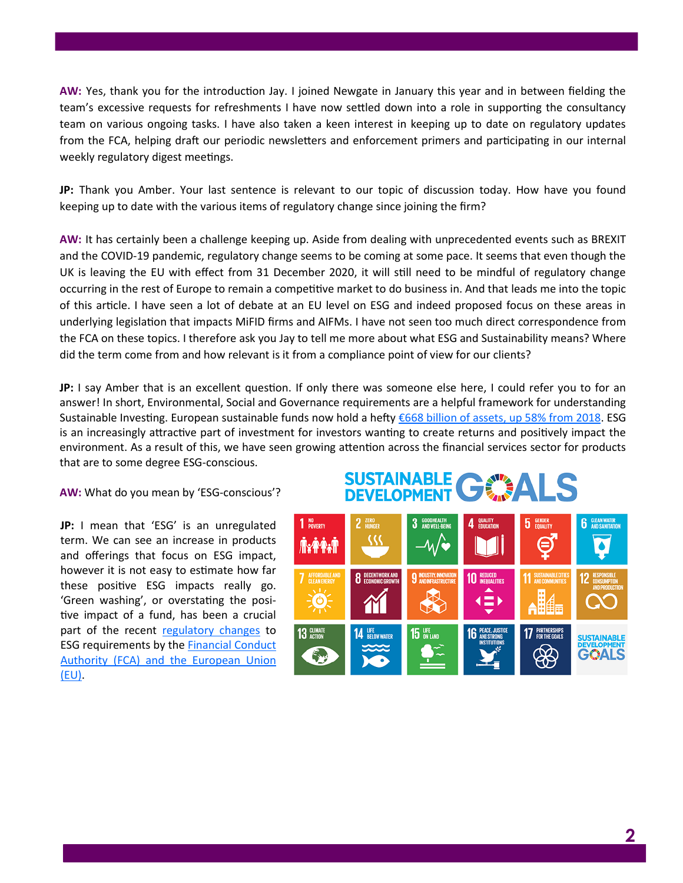**AW:** Yes, thank you for the introduction Jay. I joined Newgate in January this year and in between fielding the team's excessive requests for refreshments I have now settled down into a role in supporting the consultancy team on various ongoing tasks. I have also taken a keen interest in keeping up to date on regulatory updates from the FCA, helping draft our periodic newsletters and enforcement primers and participating in our internal weekly regulatory digest meetings.

**JP:** Thank you Amber. Your last sentence is relevant to our topic of discussion today. How have you found keeping up to date with the various items of regulatory change since joining the firm?

**AW:** It has certainly been a challenge keeping up. Aside from dealing with unprecedented events such as BREXIT and the COVID-19 pandemic, regulatory change seems to be coming at some pace. It seems that even though the UK is leaving the EU with effect from 31 December 2020, it will still need to be mindful of regulatory change occurring in the rest of Europe to remain a competitive market to do business in. And that leads me into the topic of this article. I have seen a lot of debate at an EU level on ESG and indeed proposed focus on these areas in underlying legislation that impacts MiFID firms and AIFMs. I have not seen too much direct correspondence from the FCA on these topics. I therefore ask you Jay to tell me more about what ESG and Sustainability means? Where did the term come from and how relevant is it from a compliance point of view for our clients?

**JP:** I say Amber that is an excellent question. If only there was someone else here, I could refer you to for an answer! In short, Environmental, Social and Governance requirements are a helpful framework for understanding Sustainable Investing. European sustainable funds now hold a hefty [€668 billion of assets, up 58% from 2018.](https://www.morningstar.co.uk/uk/news/199190/record-shattering-year-for-sustainable-investments.aspx) ESG is an increasingly attractive part of investment for investors wanting to create returns and positively impact the environment. As a result of this, we have seen growing attention across the financial services sector for products that are to some degree ESG-conscious.

**AW:** What do you mean by 'ESG-conscious'?

**JP:** I mean that 'ESG' is an unregulated term. We can see an increase in products and offerings that focus on ESG impact, however it is not easy to estimate how far these positive ESG impacts really go. 'Green washing', or overstating the positive impact of a fund, has been a crucial part of the recent [regulatory changes](https://www.fca.org.uk/publication/feedback/fs19-6.pdf) to ESG requirements by the [Financial Conduct](https://www.fca.org.uk/publication/corporate/climate-financial-risk-forum-guide-2020-summary.pdf)  [Authority \(FCA\) and the European Union](https://www.fca.org.uk/publication/corporate/climate-financial-risk-forum-guide-2020-summary.pdf)  [\(EU\).](https://www.fca.org.uk/publication/corporate/climate-financial-risk-forum-guide-2020-summary.pdf)

### SUSTAINABLE 子熟 **DEVELOPMENT**

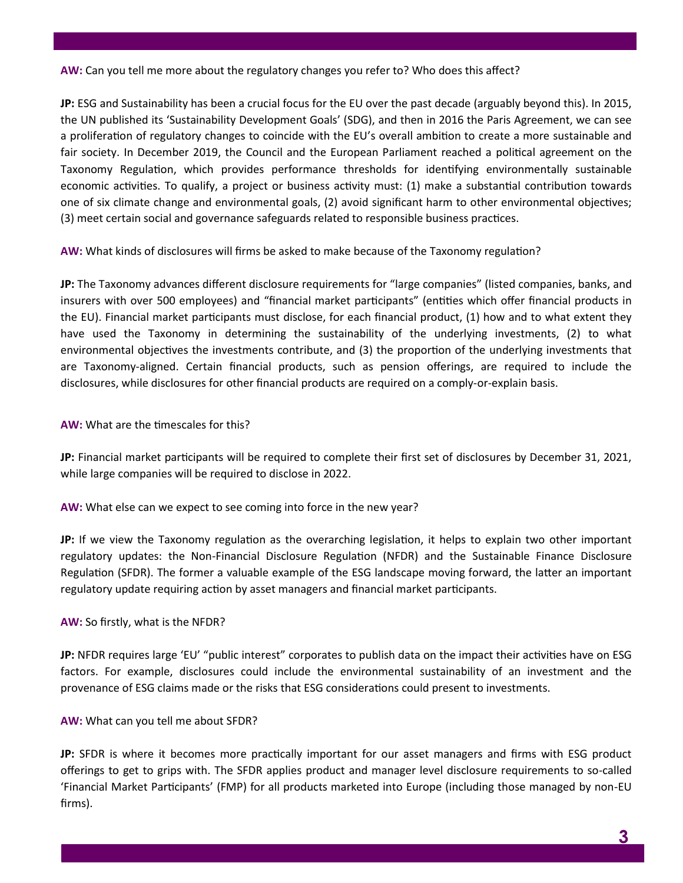**AW:** Can you tell me more about the regulatory changes you refer to? Who does this affect?

**JP:** ESG and Sustainability has been a crucial focus for the EU over the past decade (arguably beyond this). In 2015, the UN published its 'Sustainability Development Goals' (SDG), and then in 2016 the Paris Agreement, we can see a proliferation of regulatory changes to coincide with the EU's overall ambition to create a more sustainable and fair society. In December 2019, the Council and the European Parliament reached a political agreement on the Taxonomy Regulation, which provides performance thresholds for identifying environmentally sustainable economic activities. To qualify, a project or business activity must: (1) make a substantial contribution towards one of six climate change and environmental goals, (2) avoid significant harm to other environmental objectives; (3) meet certain social and governance safeguards related to responsible business practices.

**AW:** What kinds of disclosures will firms be asked to make because of the Taxonomy regulation?

**JP:** The Taxonomy advances different disclosure requirements for "large companies" (listed companies, banks, and insurers with over 500 employees) and "financial market participants" (entities which offer financial products in the EU). Financial market participants must disclose, for each financial product, (1) how and to what extent they have used the Taxonomy in determining the sustainability of the underlying investments, (2) to what environmental objectives the investments contribute, and (3) the proportion of the underlying investments that are Taxonomy-aligned. Certain financial products, such as pension offerings, are required to include the disclosures, while disclosures for other financial products are required on a comply-or-explain basis.

**AW:** What are the timescales for this?

**JP:** Financial market participants will be required to complete their first set of disclosures by December 31, 2021, while large companies will be required to disclose in 2022.

**AW:** What else can we expect to see coming into force in the new year?

**JP:** If we view the Taxonomy regulation as the overarching legislation, it helps to explain two other important regulatory updates: the Non-Financial Disclosure Regulation (NFDR) and the Sustainable Finance Disclosure Regulation (SFDR). The former a valuable example of the ESG landscape moving forward, the latter an important regulatory update requiring action by asset managers and financial market participants.

## **AW:** So firstly, what is the NFDR?

**JP:** NFDR requires large 'EU' "public interest" corporates to publish data on the impact their activities have on ESG factors. For example, disclosures could include the environmental sustainability of an investment and the provenance of ESG claims made or the risks that ESG considerations could present to investments.

**AW:** What can you tell me about SFDR?

**JP:** SFDR is where it becomes more practically important for our asset managers and firms with ESG product offerings to get to grips with. The SFDR applies product and manager level disclosure requirements to so-called 'Financial Market Participants' (FMP) for all products marketed into Europe (including those managed by non-EU firms).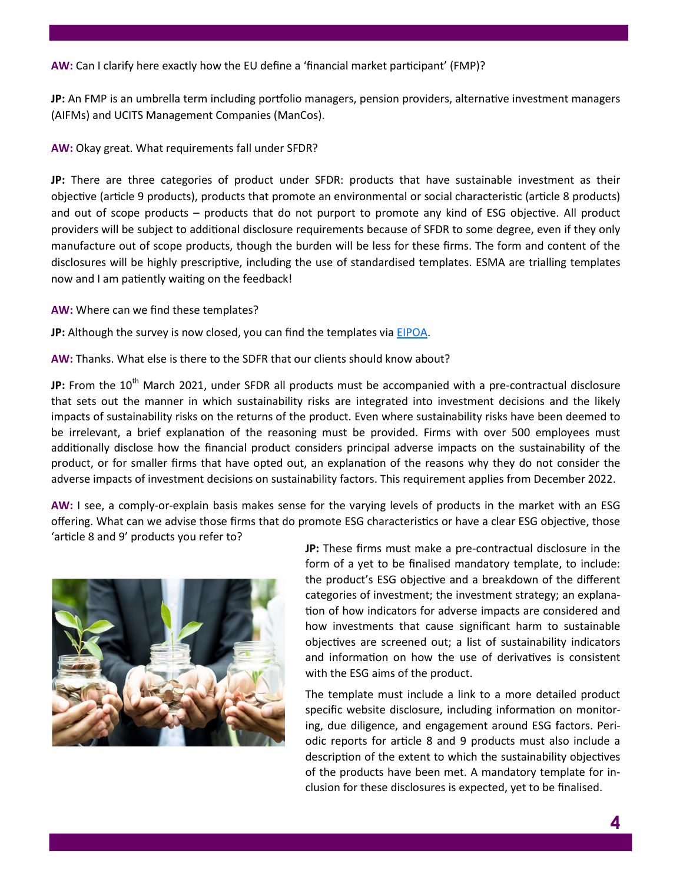**AW:** Can I clarify here exactly how the EU define a 'financial market participant' (FMP)?

**JP:** An FMP is an umbrella term including portfolio managers, pension providers, alternative investment managers (AIFMs) and UCITS Management Companies (ManCos).

**AW:** Okay great. What requirements fall under SFDR?

**JP:** There are three categories of product under SFDR: products that have sustainable investment as their objective (article 9 products), products that promote an environmental or social characteristic (article 8 products) and out of scope products – products that do not purport to promote any kind of ESG objective. All product providers will be subject to additional disclosure requirements because of SFDR to some degree, even if they only manufacture out of scope products, though the burden will be less for these firms. The form and content of the disclosures will be highly prescriptive, including the use of standardised templates. ESMA are trialling templates now and I am patiently waiting on the feedback!

**AW:** Where can we find these templates?

**JP:** Although the survey is now closed, you can find the templates via [EIPOA.](https://www.eiopa.europa.eu/content/survey-product-disclosure-templates-under-sustainable-finance-disclosure-regulation_en)

**AW:** Thanks. What else is there to the SDFR that our clients should know about?

JP: From the 10<sup>th</sup> March 2021, under SFDR all products must be accompanied with a pre-contractual disclosure that sets out the manner in which sustainability risks are integrated into investment decisions and the likely impacts of sustainability risks on the returns of the product. Even where sustainability risks have been deemed to be irrelevant, a brief explanation of the reasoning must be provided. Firms with over 500 employees must additionally disclose how the financial product considers principal adverse impacts on the sustainability of the product, or for smaller firms that have opted out, an explanation of the reasons why they do not consider the adverse impacts of investment decisions on sustainability factors. This requirement applies from December 2022.

**AW:** I see, a comply-or-explain basis makes sense for the varying levels of products in the market with an ESG offering. What can we advise those firms that do promote ESG characteristics or have a clear ESG objective, those 'article 8 and 9' products you refer to?



**JP:** These firms must make a pre-contractual disclosure in the form of a yet to be finalised mandatory template, to include: the product's ESG objective and a breakdown of the different categories of investment; the investment strategy; an explanation of how indicators for adverse impacts are considered and how investments that cause significant harm to sustainable objectives are screened out; a list of sustainability indicators and information on how the use of derivatives is consistent with the ESG aims of the product.

The template must include a link to a more detailed product specific website disclosure, including information on monitoring, due diligence, and engagement around ESG factors. Periodic reports for article 8 and 9 products must also include a description of the extent to which the sustainability objectives of the products have been met. A mandatory template for inclusion for these disclosures is expected, yet to be finalised.